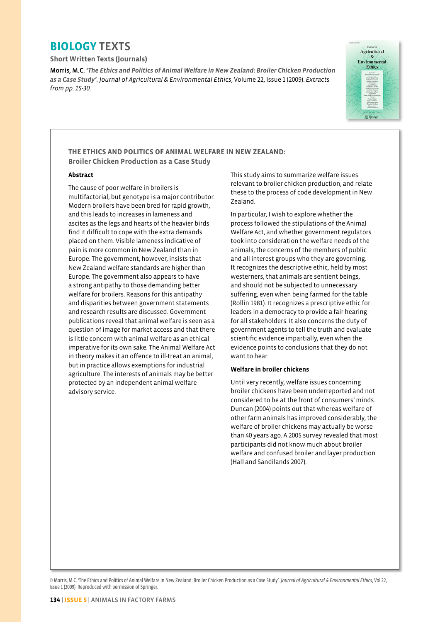### **Short Written Texts (Journals)**

Morris, M.C. *'The Ethics and Politics of Animal Welfare in New Zealand: Broiler Chicken Production as a Case Study'. Journal of Agricultural & Environmental Ethics*, Volume 22, Issue 1 (2009). *Extracts from pp. 15-30.*



### **THE ETHICS AND POLITICS OF ANIMAL WELFARE IN NEW ZEALAND: Broiler Chicken Production as a Case Study**

## **Abstract**

The cause of poor welfare in broilers is multifactorial, but genotype is a major contributor. Modern broilers have been bred for rapid growth, and this leads to increases in lameness and ascites as the legs and hearts of the heavier birds find it difficult to cope with the extra demands placed on them. Visible lameness indicative of pain is more common in New Zealand than in Europe. The government, however, insists that New Zealand welfare standards are higher than Europe. The government also appears to have a strong antipathy to those demanding better welfare for broilers. Reasons for this antipathy and disparities between government statements and research results are discussed. Government publications reveal that animal welfare is seen as a question of image for market access and that there is little concern with animal welfare as an ethical imperative for its own sake. The Animal Welfare Act in theory makes it an offence to ill-treat an animal, but in practice allows exemptions for industrial agriculture. The interests of animals may be better protected by an independent animal welfare advisory service.

This study aims to summarize welfare issues relevant to broiler chicken production, and relate these to the process of code development in New Zealand.

In particular, I wish to explore whether the process followed the stipulations of the Animal Welfare Act, and whether government regulators took into consideration the welfare needs of the animals, the concerns of the members of public and all interest groups who they are governing. It recognizes the descriptive ethic, held by most westerners, that animals are sentient beings, and should not be subjected to unnecessary suffering, even when being farmed for the table (Rollin 1981). It recognizes a prescriptive ethic for leaders in a democracy to provide a fair hearing for all stakeholders. It also concerns the duty of government agents to tell the truth and evaluate scientific evidence impartially, even when the evidence points to conclusions that they do not want to hear.

#### **Welfare in broiler chickens**

Until very recently, welfare issues concerning broiler chickens have been underreported and not considered to be at the front of consumers' minds. Duncan (2004) points out that whereas welfare of other farm animals has improved considerably, the welfare of broiler chickens may actually be worse than 40 years ago. A 2005 survey revealed that most participants did not know much about broiler welfare and confused broiler and layer production (Hall and Sandilands 2007).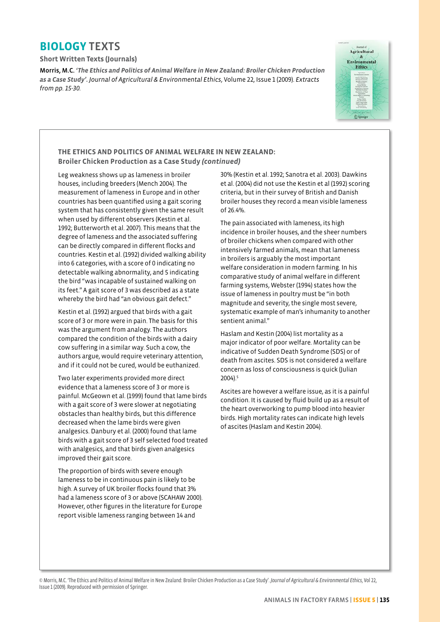#### **Short Written Texts (Journals)**

Morris, M.C. *'The Ethics and Politics of Animal Welfare in New Zealand: Broiler Chicken Production as a Case Study'. Journal of Agricultural & Environmental Ethics*, Volume 22, Issue 1 (2009). *Extracts from pp. 15-30.*



## **THE ETHICS AND POLITICS OF ANIMAL WELFARE IN NEW ZEALAND: Broiler Chicken Production as a Case Study** *(continued)*

Leg weakness shows up as lameness in broiler houses, including breeders (Mench 2004). The measurement of lameness in Europe and in other countries has been quantified using a gait scoring system that has consistently given the same result when used by different observers (Kestin et al. 1992; Butterworth et al. 2007). This means that the degree of lameness and the associated suffering can be directly compared in different flocks and countries. Kestin et al. (1992) divided walking ability into 6 categories, with a score of 0 indicating no detectable walking abnormality, and 5 indicating the bird "was incapable of sustained walking on its feet." A gait score of 3 was described as a state whereby the bird had "an obvious gait defect."

Kestin et al. (1992) argued that birds with a gait score of 3 or more were in pain. The basis for this was the argument from analogy. The authors compared the condition of the birds with a dairy cow suffering in a similar way. Such a cow, the authors argue, would require veterinary attention, and if it could not be cured, would be euthanized.

Two later experiments provided more direct evidence that a lameness score of 3 or more is painful. McGeown et al. (1999) found that lame birds with a gait score of 3 were slower at negotiating obstacles than healthy birds, but this difference decreased when the lame birds were given analgesics. Danbury et al. (2000) found that lame birds with a gait score of 3 self selected food treated with analgesics, and that birds given analgesics improved their gait score.

The proportion of birds with severe enough lameness to be in continuous pain is likely to be high. A survey of UK broiler flocks found that 3% had a lameness score of 3 or above (SCAHAW 2000). However, other figures in the literature for Europe report visible lameness ranging between 14 and

30% (Kestin et al. 1992; Sanotra et al. 2003). Dawkins et al. (2004) did not use the Kestin et al (1992) scoring criteria, but in their survey of British and Danish broiler houses they record a mean visible lameness of 26.4%.

The pain associated with lameness, its high incidence in broiler houses, and the sheer numbers of broiler chickens when compared with other intensively farmed animals, mean that lameness in broilers is arguably the most important welfare consideration in modern farming. In his comparative study of animal welfare in different farming systems, Webster (1994) states how the issue of lameness in poultry must be "in both magnitude and severity, the single most severe, systematic example of man's inhumanity to another sentient animal"

Haslam and Kestin (2004) list mortality as a major indicator of poor welfare. Mortality can be indicative of Sudden Death Syndrome (SDS) or of death from ascites. SDS is not considered a welfare concern as loss of consciousness is quick (Julian 2004).5

Ascites are however a welfare issue, as it is a painful condition. It is caused by fluid build up as a result of the heart overworking to pump blood into heavier birds. High mortality rates can indicate high levels of ascites (Haslam and Kestin 2004).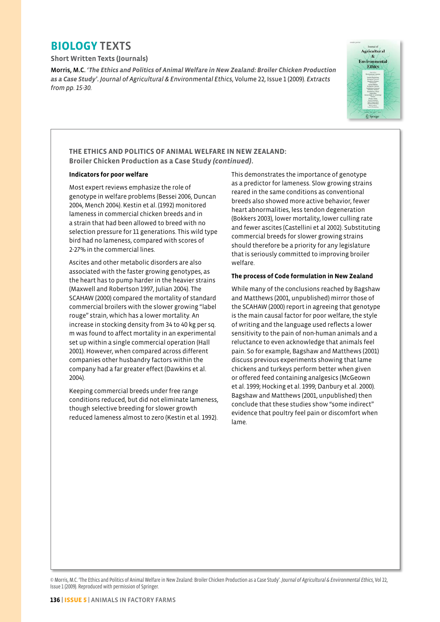### **Short Written Texts (Journals)**

Morris, M.C. *'The Ethics and Politics of Animal Welfare in New Zealand: Broiler Chicken Production as a Case Study'. Journal of Agricultural & Environmental Ethics*, Volume 22, Issue 1 (2009). *Extracts from pp. 15-30.*



**THE ETHICS AND POLITICS OF ANIMAL WELFARE IN NEW ZEALAND: Broiler Chicken Production as a Case Study** *(continued)***.**

### **Indicators for poor welfare**

Most expert reviews emphasize the role of genotype in welfare problems (Bessei 2006, Duncan 2004, Mench 2004). Kestin et al. (1992) monitored lameness in commercial chicken breeds and in a strain that had been allowed to breed with no selection pressure for 11 generations. This wild type bird had no lameness, compared with scores of 2-27% in the commercial lines.

Ascites and other metabolic disorders are also associated with the faster growing genotypes, as the heart has to pump harder in the heavier strains (Maxwell and Robertson 1997, Julian 2004). The SCAHAW (2000) compared the mortality of standard commercial broilers with the slower growing "label rouge" strain, which has a lower mortality. An increase in stocking density from 34 to 40 kg per sq. m was found to affect mortality in an experimental set up within a single commercial operation (Hall 2001). However, when compared across different companies other husbandry factors within the company had a far greater effect (Dawkins et al. 2004).

Keeping commercial breeds under free range conditions reduced, but did not eliminate lameness, though selective breeding for slower growth reduced lameness almost to zero (Kestin et al. 1992).

This demonstrates the importance of genotype as a predictor for lameness. Slow growing strains reared in the same conditions as conventional breeds also showed more active behavior, fewer heart abnormalities, less tendon degeneration (Bokkers 2003), lower mortality, lower culling rate and fewer ascites (Castellini et al 2002). Substituting commercial breeds for slower growing strains should therefore be a priority for any legislature that is seriously committed to improving broiler welfare.

## **The process of Code formulation in New Zealand**

While many of the conclusions reached by Bagshaw and Matthews (2001, unpublished) mirror those of the SCAHAW (2000) report in agreeing that genotype is the main causal factor for poor welfare, the style of writing and the language used reflects a lower sensitivity to the pain of non-human animals and a reluctance to even acknowledge that animals feel pain. So for example, Bagshaw and Matthews (2001) discuss previous experiments showing that lame chickens and turkeys perform better when given or offered feed containing analgesics (McGeown et al. 1999; Hocking et al. 1999; Danbury et al. 2000). Bagshaw and Matthews (2001, unpublished) then conclude that these studies show "some indirect" evidence that poultry feel pain or discomfort when lame.